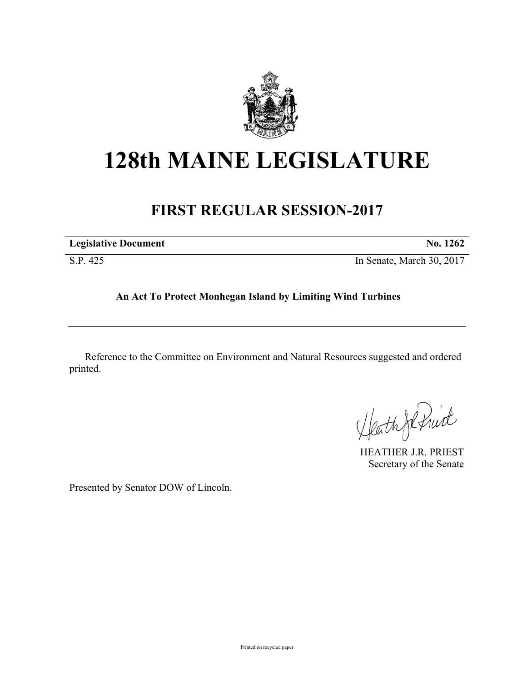

## **128th MAINE LEGISLATURE**

## **FIRST REGULAR SESSION-2017**

| <b>Legislative Document</b> | No. 1262                  |
|-----------------------------|---------------------------|
| S.P. 425                    | In Senate, March 30, 2017 |

## **An Act To Protect Monhegan Island by Limiting Wind Turbines**

Reference to the Committee on Environment and Natural Resources suggested and ordered printed.

Heath Johnist

HEATHER J.R. PRIEST Secretary of the Senate

Presented by Senator DOW of Lincoln.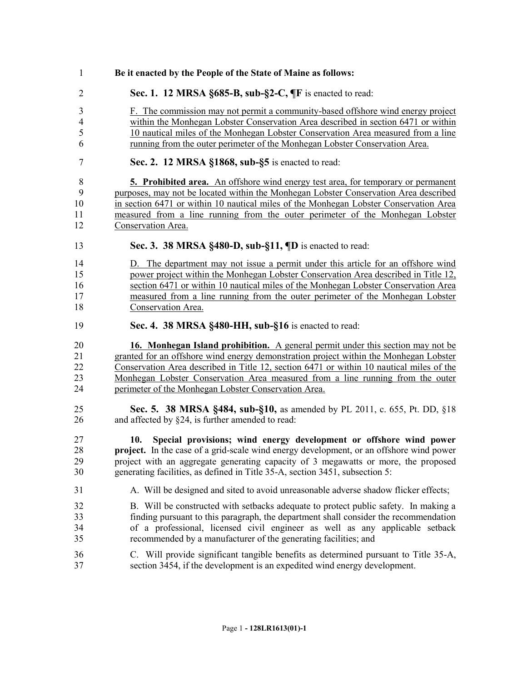| 1                    | Be it enacted by the People of the State of Maine as follows:                                                                                                                                                                                                                                                                              |
|----------------------|--------------------------------------------------------------------------------------------------------------------------------------------------------------------------------------------------------------------------------------------------------------------------------------------------------------------------------------------|
| $\overline{2}$       | Sec. 1. 12 MRSA §685-B, sub-§2-C, ¶F is enacted to read:                                                                                                                                                                                                                                                                                   |
| 3                    | F. The commission may not permit a community-based offshore wind energy project                                                                                                                                                                                                                                                            |
| $\overline{4}$       | within the Monhegan Lobster Conservation Area described in section 6471 or within                                                                                                                                                                                                                                                          |
| 5                    | 10 nautical miles of the Monhegan Lobster Conservation Area measured from a line                                                                                                                                                                                                                                                           |
| 6                    | running from the outer perimeter of the Monhegan Lobster Conservation Area.                                                                                                                                                                                                                                                                |
| $\boldsymbol{7}$     | Sec. 2. 12 MRSA §1868, sub-§5 is enacted to read:                                                                                                                                                                                                                                                                                          |
| $\,$ $\,$            | 5. Prohibited area. An offshore wind energy test area, for temporary or permanent                                                                                                                                                                                                                                                          |
| 9                    | purposes, may not be located within the Monhegan Lobster Conservation Area described                                                                                                                                                                                                                                                       |
| 10                   | in section 6471 or within 10 nautical miles of the Monhegan Lobster Conservation Area                                                                                                                                                                                                                                                      |
| 11                   | measured from a line running from the outer perimeter of the Monhegan Lobster                                                                                                                                                                                                                                                              |
| 12                   | Conservation Area.                                                                                                                                                                                                                                                                                                                         |
| 13                   | Sec. 3. 38 MRSA §480-D, sub-§11, ¶D is enacted to read:                                                                                                                                                                                                                                                                                    |
| 14                   | D. The department may not issue a permit under this article for an offshore wind                                                                                                                                                                                                                                                           |
| 15                   | power project within the Monhegan Lobster Conservation Area described in Title 12,                                                                                                                                                                                                                                                         |
| 16                   | section 6471 or within 10 nautical miles of the Monhegan Lobster Conservation Area                                                                                                                                                                                                                                                         |
| 17                   | measured from a line running from the outer perimeter of the Monhegan Lobster                                                                                                                                                                                                                                                              |
| 18                   | Conservation Area.                                                                                                                                                                                                                                                                                                                         |
| 19                   | Sec. 4. 38 MRSA §480-HH, sub-§16 is enacted to read:                                                                                                                                                                                                                                                                                       |
| 20                   | 16. Monhegan Island prohibition. A general permit under this section may not be                                                                                                                                                                                                                                                            |
| 21                   | granted for an offshore wind energy demonstration project within the Monhegan Lobster                                                                                                                                                                                                                                                      |
| 22                   | Conservation Area described in Title 12, section 6471 or within 10 nautical miles of the                                                                                                                                                                                                                                                   |
| 23                   | Monhegan Lobster Conservation Area measured from a line running from the outer                                                                                                                                                                                                                                                             |
| 24                   | perimeter of the Monhegan Lobster Conservation Area.                                                                                                                                                                                                                                                                                       |
| 25                   | Sec. 5. 38 MRSA §484, sub-§10, as amended by PL 2011, c. 655, Pt. DD, §18                                                                                                                                                                                                                                                                  |
| 26                   | and affected by §24, is further amended to read:                                                                                                                                                                                                                                                                                           |
| 27<br>28<br>29<br>30 | Special provisions; wind energy development or offshore wind power<br>10.<br>project. In the case of a grid-scale wind energy development, or an offshore wind power<br>project with an aggregate generating capacity of 3 megawatts or more, the proposed<br>generating facilities, as defined in Title 35-A, section 3451, subsection 5: |
| 31                   | A. Will be designed and sited to avoid unreasonable adverse shadow flicker effects;                                                                                                                                                                                                                                                        |
| 32                   | B. Will be constructed with setbacks adequate to protect public safety. In making a                                                                                                                                                                                                                                                        |
| 33                   | finding pursuant to this paragraph, the department shall consider the recommendation                                                                                                                                                                                                                                                       |
| 34                   | of a professional, licensed civil engineer as well as any applicable setback                                                                                                                                                                                                                                                               |
| 35                   | recommended by a manufacturer of the generating facilities; and                                                                                                                                                                                                                                                                            |
| 36                   | C. Will provide significant tangible benefits as determined pursuant to Title 35-A,                                                                                                                                                                                                                                                        |
| 37                   | section 3454, if the development is an expedited wind energy development.                                                                                                                                                                                                                                                                  |